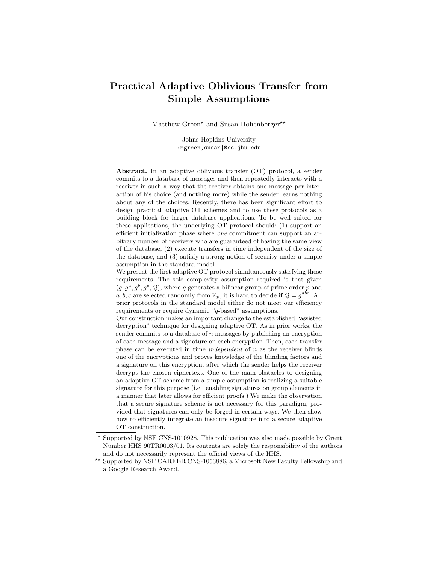# Practical Adaptive Oblivious Transfer from Simple Assumptions

Matthew Green\* and Susan Hohenberger\*\*

Johns Hopkins University {mgreen,susan}@cs.jhu.edu

Abstract. In an adaptive oblivious transfer (OT) protocol, a sender commits to a database of messages and then repeatedly interacts with a receiver in such a way that the receiver obtains one message per interaction of his choice (and nothing more) while the sender learns nothing about any of the choices. Recently, there has been significant effort to design practical adaptive OT schemes and to use these protocols as a building block for larger database applications. To be well suited for these applications, the underlying OT protocol should: (1) support an efficient initialization phase where one commitment can support an arbitrary number of receivers who are guaranteed of having the same view of the database, (2) execute transfers in time independent of the size of the database, and (3) satisfy a strong notion of security under a simple assumption in the standard model.

We present the first adaptive OT protocol simultaneously satisfying these requirements. The sole complexity assumption required is that given  $(g, g^a, g^b, g^c, Q)$ , where g generates a bilinear group of prime order p and a, b, c are selected randomly from  $\mathbb{Z}_p$ , it is hard to decide if  $Q = g^{abc}$ . All prior protocols in the standard model either do not meet our efficiency requirements or require dynamic "q-based" assumptions.

Our construction makes an important change to the established "assisted decryption" technique for designing adaptive OT. As in prior works, the sender commits to a database of  $n$  messages by publishing an encryption of each message and a signature on each encryption. Then, each transfer phase can be executed in time *independent* of  $n$  as the receiver blinds one of the encryptions and proves knowledge of the blinding factors and a signature on this encryption, after which the sender helps the receiver decrypt the chosen ciphertext. One of the main obstacles to designing an adaptive OT scheme from a simple assumption is realizing a suitable signature for this purpose (i.e., enabling signatures on group elements in a manner that later allows for efficient proofs.) We make the observation that a secure signature scheme is not necessary for this paradigm, provided that signatures can only be forged in certain ways. We then show how to efficiently integrate an insecure signature into a secure adaptive OT construction.

<sup>?</sup> Supported by NSF CNS-1010928. This publication was also made possible by Grant Number HHS 90TR0003/01. Its contents are solely the responsibility of the authors and do not necessarily represent the official views of the HHS.

 $^{\star\star}$  Supported by NSF CAREER CNS-1053886, a Microsoft New Faculty Fellowship and a Google Research Award.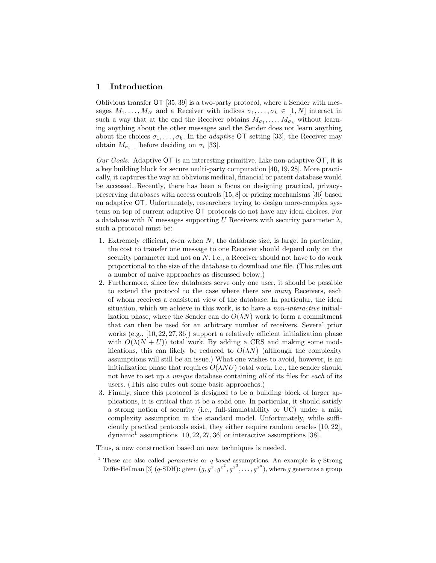## 1 Introduction

Oblivious transfer OT [35, 39] is a two-party protocol, where a Sender with messages  $M_1, \ldots, M_N$  and a Receiver with indices  $\sigma_1, \ldots, \sigma_k \in [1, N]$  interact in such a way that at the end the Receiver obtains  $M_{\sigma_1}, \ldots, M_{\sigma_k}$  without learning anything about the other messages and the Sender does not learn anything about the choices  $\sigma_1, \ldots, \sigma_k$ . In the *adaptive* OT setting [33], the Receiver may obtain  $M_{\sigma_{i-1}}$  before deciding on  $\sigma_i$  [33].

Our Goals. Adaptive  $\overline{OT}$  is an interesting primitive. Like non-adaptive  $\overline{OT}$ , it is a key building block for secure multi-party computation [40, 19, 28]. More practically, it captures the way an oblivious medical, financial or patent database would be accessed. Recently, there has been a focus on designing practical, privacypreserving databases with access controls [15, 8] or pricing mechanisms [36] based on adaptive OT. Unfortunately, researchers trying to design more-complex systems on top of current adaptive OT protocols do not have any ideal choices. For a database with N messages supporting U Receivers with security parameter  $\lambda$ , such a protocol must be:

- 1. Extremely efficient, even when  $N$ , the database size, is large. In particular, the cost to transfer one message to one Receiver should depend only on the security parameter and not on  $N$ . I.e., a Receiver should not have to do work proportional to the size of the database to download one file. (This rules out a number of naive approaches as discussed below.)
- 2. Furthermore, since few databases serve only one user, it should be possible to extend the protocol to the case where there are many Receivers, each of whom receives a consistent view of the database. In particular, the ideal situation, which we achieve in this work, is to have a *non-interactive* initialization phase, where the Sender can do  $O(\lambda N)$  work to form a commitment that can then be used for an arbitrary number of receivers. Several prior works  $(e.g., [10, 22, 27, 36])$  support a relatively efficient initialization phase with  $O(\lambda(N+U))$  total work. By adding a CRS and making some modifications, this can likely be reduced to  $O(\lambda N)$  (although the complexity assumptions will still be an issue.) What one wishes to avoid, however, is an initialization phase that requires  $O(\lambda NU)$  total work. I.e., the sender should not have to set up a *unique* database containing all of its files for each of its users. (This also rules out some basic approaches.)
- 3. Finally, since this protocol is designed to be a building block of larger applications, it is critical that it be a solid one. In particular, it should satisfy a strong notion of security (i.e., full-simulatability or UC) under a mild complexity assumption in the standard model. Unfortunately, while sufficiently practical protocols exist, they either require random oracles [10, 22], dynamic<sup>1</sup> assumptions  $[10, 22, 27, 36]$  or interactive assumptions  $[38]$ .

Thus, a new construction based on new techniques is needed.

<sup>&</sup>lt;sup>1</sup> These are also called *parametric* or  $q$ -based assumptions. An example is  $q$ -Strong Diffie-Hellman [3]  $(q\text{-SDH})$ : given  $(g, g^x, g^{x^2}, g^{x^3}, \ldots, g^{x^q})$ , where  $g$  generates a group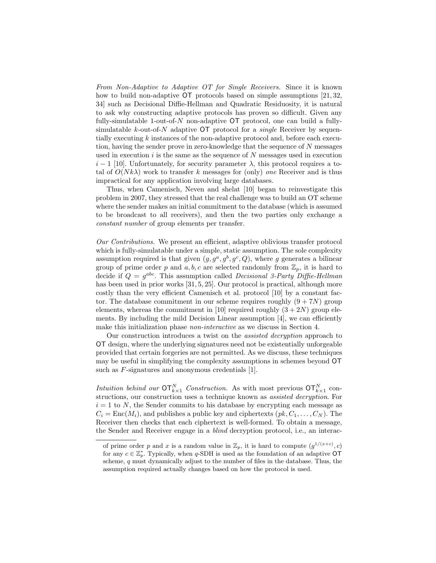From Non-Adaptive to Adaptive OT for Single Receivers. Since it is known how to build non-adaptive OT protocols based on simple assumptions [21, 32, 34] such as Decisional Diffie-Hellman and Quadratic Residuosity, it is natural to ask why constructing adaptive protocols has proven so difficult. Given any fully-simulatable 1-out-of- $N$  non-adaptive  $\overline{OT}$  protocol, one can build a fullysimulatable  $k$ -out-of-N adaptive  $\overline{OT}$  protocol for a *single* Receiver by sequentially executing k instances of the non-adaptive protocol and, before each execution, having the sender prove in zero-knowledge that the sequence of N messages used in execution  $i$  is the same as the sequence of  $N$  messages used in execution  $i-1$  [10]. Unfortunately, for security parameter  $\lambda$ , this protocol requires a total of  $O(Nk\lambda)$  work to transfer k messages for (only) *one* Receiver and is thus impractical for any application involving large databases.

Thus, when Camenisch, Neven and shelat [10] began to reinvestigate this problem in 2007, they stressed that the real challenge was to build an OT scheme where the sender makes an initial commitment to the database (which is assumed to be broadcast to all receivers), and then the two parties only exchange a constant number of group elements per transfer.

Our Contributions. We present an efficient, adaptive oblivious transfer protocol which is fully-simulatable under a simple, static assumption. The sole complexity assumption required is that given  $(g, g^a, g^b, g^c, Q)$ , where g generates a bilinear group of prime order p and  $a, b, c$  are selected randomly from  $\mathbb{Z}_p$ , it is hard to decide if  $Q = g^{abc}$ . This assumption called *Decisional 3-Party Diffie-Hellman* has been used in prior works [31, 5, 25]. Our protocol is practical, although more costly than the very efficient Camenisch et al. protocol [10] by a constant factor. The database commitment in our scheme requires roughly  $(9 + 7N)$  group elements, whereas the commitment in [10] required roughly  $(3+2N)$  group elements. By including the mild Decision Linear assumption [4], we can efficiently make this initialization phase non-interactive as we discuss in Section 4.

Our construction introduces a twist on the assisted decryption approach to OT design, where the underlying signatures need not be existentially unforgeable provided that certain forgeries are not permitted. As we discuss, these techniques may be useful in simplifying the complexity assumptions in schemes beyond OT such as F-signatures and anonymous credentials [1].

Intuition behind our  $\mathsf{OT}_{k\times 1}^N$  Construction. As with most previous  $\mathsf{OT}_{k\times 1}^N$  constructions, our construction uses a technique known as assisted decryption. For  $i = 1$  to N, the Sender commits to his database by encrypting each message as  $C_i = \text{Enc}(M_i)$ , and publishes a public key and ciphertexts  $(pk, C_1, \ldots, C_N)$ . The Receiver then checks that each ciphertext is well-formed. To obtain a message, the Sender and Receiver engage in a blind decryption protocol, i.e., an interac-

of prime order p and x is a random value in  $\mathbb{Z}_p$ , it is hard to compute  $(g^{1/(x+c)}, c)$ for any  $c \in \mathbb{Z}_p^*$ . Typically, when q-SDH is used as the foundation of an adaptive OT scheme, q must dynamically adjust to the number of files in the database. Thus, the assumption required actually changes based on how the protocol is used.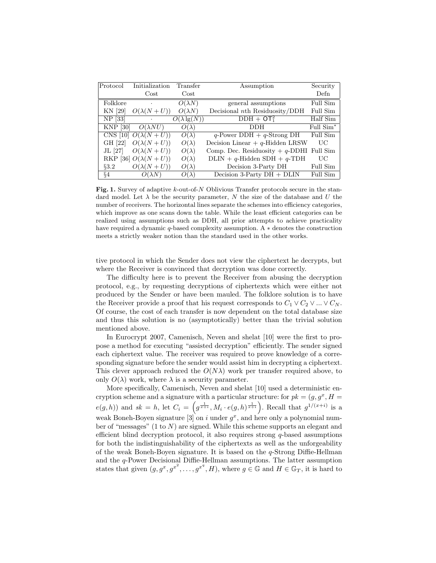| Protocol                 | Initialization             | Transfer            | Assumption                                  | Security              |
|--------------------------|----------------------------|---------------------|---------------------------------------------|-----------------------|
|                          | Cost                       | $\cos t$            |                                             | Defn                  |
| Folklore                 | $\bullet$                  | $O(\lambda N)$      | general assumptions                         | Full Sim              |
| KN [29]                  | $O(\lambda(N+U))$          | $O(\lambda N)$      | Decisional $nth$ Residuosity/DDH            | Full Sim              |
| NP [33]                  | $\bullet$                  | $O(\lambda \lg(N))$ | $DDH + OT12$                                | Half Sim              |
| $\left[30\right]$<br>KNP | $O(\lambda NU)$            | $O(\lambda)$        | DDH                                         | Full Sim <sup>*</sup> |
|                          | CNS [10] $O(\lambda(N+U))$ | $O(\lambda)$        | $q$ -Power DDH + $q$ -Strong DH             | Full Sim              |
| GH [22]                  | $O(\lambda(N+U))$          | $O(\lambda)$        | Decision Linear $+ q$ -Hidden LRSW          | UC                    |
| JL [27]                  | $O(\lambda(N+U))$          | $O(\lambda)$        | Comp. Dec. Residuosity $+ q$ -DDHI Full Sim |                       |
|                          | RKP [36] $O(\lambda(N+U))$ | $O(\lambda)$        | $DLIN + q-Hidden SDH + q-TDH$               | UС                    |
| 83.2                     | $O(\lambda(N+U))$          | $O(\lambda)$        | Decision 3-Party DH                         | Full Sim              |
| §4                       | $O(\lambda N)$             | $O(\lambda)$        | Decision 3-Party $DH + DLIN$                | <b>Full Sim</b>       |

**Fig. 1.** Survey of adaptive k-out-of-N Oblivious Transfer protocols secure in the standard model. Let  $\lambda$  be the security parameter, N the size of the database and U the number of receivers. The horizontal lines separate the schemes into efficiency categories, which improve as one scans down the table. While the least efficient categories can be realized using assumptions such as DDH, all prior attempts to achieve practicality have required a dynamic  $q$ -based complexity assumption. A  $*$  denotes the construction meets a strictly weaker notion than the standard used in the other works.

tive protocol in which the Sender does not view the ciphertext he decrypts, but where the Receiver is convinced that decryption was done correctly.

The difficulty here is to prevent the Receiver from abusing the decryption protocol, e.g., by requesting decryptions of ciphertexts which were either not produced by the Sender or have been mauled. The folklore solution is to have the Receiver provide a proof that his request corresponds to  $C_1 \vee C_2 \vee \dots \vee C_N$ . Of course, the cost of each transfer is now dependent on the total database size and thus this solution is no (asymptotically) better than the trivial solution mentioned above.

In Eurocrypt 2007, Camenisch, Neven and shelat [10] were the first to propose a method for executing "assisted decryption" efficiently. The sender signed each ciphertext value. The receiver was required to prove knowledge of a corresponding signature before the sender would assist him in decrypting a ciphertext. This clever approach reduced the  $O(N\lambda)$  work per transfer required above, to only  $O(\lambda)$  work, where  $\lambda$  is a security parameter.

More specifically, Camenisch, Neven and shelat [10] used a deterministic encryption scheme and a signature with a particular structure: for  $pk = (g, g^x, H =$  $e(g, h)$  and  $sk = h$ , let  $C_i = \left(g^{\frac{1}{x+i}}, M_i \cdot e(g, h)^{\frac{1}{x+i}}\right)$ . Recall that  $g^{1/(x+i)}$  is a weak Boneh-Boyen signature [3] on i under  $g^x$ , and here only a polynomial number of "messages"  $(1 \text{ to } N)$  are signed. While this scheme supports an elegant and efficient blind decryption protocol, it also requires strong  $q$ -based assumptions for both the indistinguishability of the ciphertexts as well as the unforgeability of the weak Boneh-Boyen signature. It is based on the q-Strong Diffie-Hellman and the q-Power Decisional Diffie-Hellman assumptions. The latter assumption states that given  $(g, g^x, g^{x^2}, \ldots, g^{x^q}, H)$ , where  $g \in \mathbb{G}$  and  $H \in \mathbb{G}_T$ , it is hard to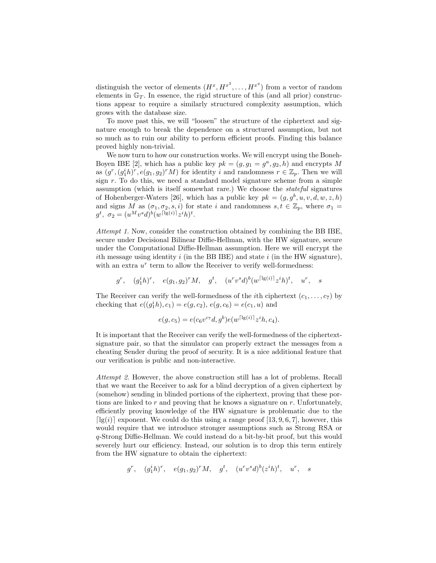distinguish the vector of elements  $(H^x, H^{x^2}, \ldots, H^{x^q})$  from a vector of random elements in  $\mathbb{G}_T$ . In essence, the rigid structure of this (and all prior) constructions appear to require a similarly structured complexity assumption, which grows with the database size.

To move past this, we will "loosen" the structure of the ciphertext and signature enough to break the dependence on a structured assumption, but not so much as to ruin our ability to perform efficient proofs. Finding this balance proved highly non-trivial.

We now turn to how our construction works. We will encrypt using the Boneh-Boyen IBE [2], which has a public key  $pk = (g, g_1 = g^a, g_2, h)$  and encrypts M as  $(g^r, (g_1^ih)^r, e(g_1, g_2)^r M)$  for identity i and randomness  $r \in \mathbb{Z}_p$ . Then we will sign  $r$ . To do this, we need a standard model signature scheme from a simple assumption (which is itself somewhat rare.) We choose the stateful signatures of Hohenberger-Waters [26], which has a public key  $pk = (g, g^b, u, v, d, w, z, h)$ and signs M as  $(\sigma_1, \sigma_2, s, i)$  for state i and randomness  $s, t \in \mathbb{Z}_p$ , where  $\sigma_1 =$  $g^{t}, \sigma_{2} = (u^{M}v^{s}d)^{b}(w^{\lceil \lg(i) \rceil}z^{i}h)^{t}.$ 

Attempt 1. Now, consider the construction obtained by combining the BB IBE, secure under Decisional Bilinear Diffie-Hellman, with the HW signature, secure under the Computational Diffie-Hellman assumption. Here we will encrypt the ith message using identity i (in the BB IBE) and state i (in the HW signature), with an extra  $u^r$  term to allow the Receiver to verify well-formedness:

$$
g^r, \quad (g_1^ih)^r, \quad e(g_1, g_2)^r M, \quad g^t, \quad (u^r v^s d)^b (w^{\lceil \lg(i) \rceil} z^i h)^t, \quad u^r, \quad s
$$

The Receiver can verify the well-formedness of the *i*th ciphertext  $(c_1, \ldots, c_7)$  by checking that  $e((g_1^ih), c_1) = e(g, c_2), e(g, c_6) = e(c_1, u)$  and

$$
e(g, c_5) = e(c_6 v^{c_7} d, g^b) e(w^{\lceil \lg(i) \rceil} z^i h, c_4).
$$

It is important that the Receiver can verify the well-formedness of the ciphertextsignature pair, so that the simulator can properly extract the messages from a cheating Sender during the proof of security. It is a nice additional feature that our verification is public and non-interactive.

Attempt 2. However, the above construction still has a lot of problems. Recall that we want the Receiver to ask for a blind decryption of a given ciphertext by (somehow) sending in blinded portions of the ciphertext, proving that these portions are linked to r and proving that he knows a signature on r. Unfortunately, efficiently proving knowledge of the HW signature is problematic due to the [ $\lg(i)$ ] exponent. We could do this using a range proof [13, 9, 6, 7], however, this would require that we introduce stronger assumptions such as Strong RSA or q-Strong Diffie-Hellman. We could instead do a bit-by-bit proof, but this would severely hurt our efficiency. Instead, our solution is to drop this term entirely from the HW signature to obtain the ciphertext:

$$
g^r, \quad (g_1^ih)^r, \quad e(g_1, g_2)^r M, \quad g^t, \quad (u^r v^s d)^b (z^i h)^t, \quad u^r, \quad s
$$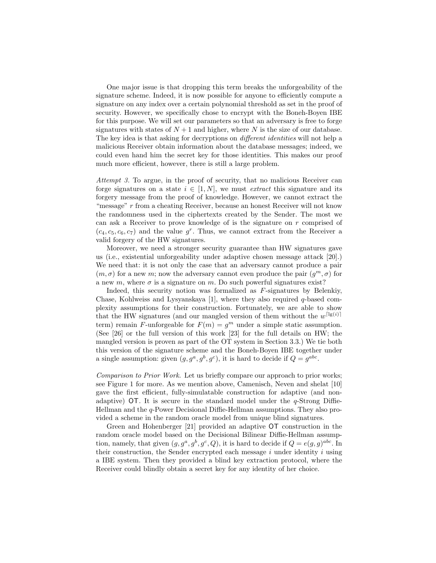One major issue is that dropping this term breaks the unforgeability of the signature scheme. Indeed, it is now possible for anyone to efficiently compute a signature on any index over a certain polynomial threshold as set in the proof of security. However, we specifically chose to encrypt with the Boneh-Boyen IBE for this purpose. We will set our parameters so that an adversary is free to forge signatures with states of  $N+1$  and higher, where N is the size of our database. The key idea is that asking for decryptions on *different identities* will not help a malicious Receiver obtain information about the database messages; indeed, we could even hand him the secret key for those identities. This makes our proof much more efficient, however, there is still a large problem.

Attempt 3. To argue, in the proof of security, that no malicious Receiver can forge signatures on a state  $i \in [1, N]$ , we must *extract* this signature and its forgery message from the proof of knowledge. However, we cannot extract the "message" r from a cheating Receiver, because an honest Receiver will not know the randomness used in the ciphertexts created by the Sender. The most we can ask a Receiver to prove knowledge of is the signature on  $r$  comprised of  $(c_4, c_5, c_6, c_7)$  and the value  $g^r$ . Thus, we cannot extract from the Receiver a valid forgery of the HW signatures.

Moreover, we need a stronger security guarantee than HW signatures gave us (i.e., existential unforgeability under adaptive chosen message attack [20].) We need that: it is not only the case that an adversary cannot produce a pair  $(m, \sigma)$  for a new m; now the adversary cannot even produce the pair  $(g<sup>m</sup>, \sigma)$  for a new m, where  $\sigma$  is a signature on m. Do such powerful signatures exist?

Indeed, this security notion was formalized as F-signatures by Belenkiy, Chase, Kohlweiss and Lysyanskaya [1], where they also required q-based complexity assumptions for their construction. Fortunately, we are able to show that the HW signatures (and our mangled version of them without the  $w^{\lceil \lg(i) \rceil}$ term) remain F-unforgeable for  $F(m) = g<sup>m</sup>$  under a simple static assumption. (See [26] or the full version of this work [23] for the full details on HW; the mangled version is proven as part of the OT system in Section 3.3.) We tie both this version of the signature scheme and the Boneh-Boyen IBE together under a single assumption: given  $(g, g^a, g^b, g^c)$ , it is hard to decide if  $Q = g^{abc}$ .

Comparison to Prior Work. Let us briefly compare our approach to prior works; see Figure 1 for more. As we mention above, Camenisch, Neven and shelat [10] gave the first efficient, fully-simulatable construction for adaptive (and nonadaptive)  $\overline{OT}$ . It is secure in the standard model under the q-Strong Diffie-Hellman and the q-Power Decisional Diffie-Hellman assumptions. They also provided a scheme in the random oracle model from unique blind signatures.

Green and Hohenberger [21] provided an adaptive OT construction in the random oracle model based on the Decisional Bilinear Diffie-Hellman assumption, namely, that given  $(g, g^a, g^b, g^c, Q)$ , it is hard to decide if  $Q = e(g, g)^{abc}$ . In their construction, the Sender encrypted each message  $i$  under identity  $i$  using a IBE system. Then they provided a blind key extraction protocol, where the Receiver could blindly obtain a secret key for any identity of her choice.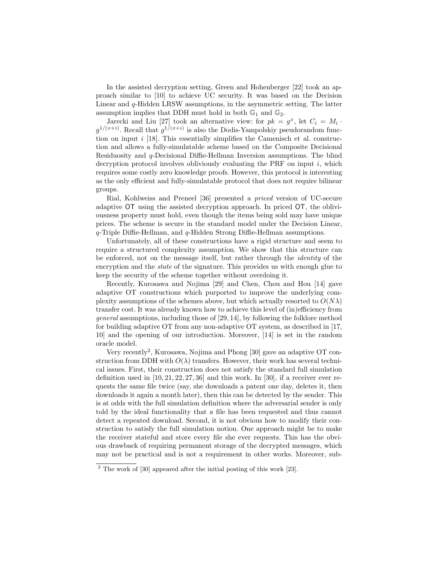In the assisted decryption setting, Green and Hohenberger [22] took an approach similar to [10] to achieve UC security. It was based on the Decision Linear and q-Hidden LRSW assumptions, in the asymmetric setting. The latter assumption implies that DDH must hold in both  $\mathbb{G}_1$  and  $\mathbb{G}_2$ .

Jarecki and Liu [27] took an alternative view: for  $pk = g^x$ , let  $C_i = M_i$ .  $g^{1/(x+i)}$ . Recall that  $g^{1/(x+i)}$  is also the Dodis-Yampolskiy pseudorandom function on input  $i$  [18]. This essentially simplifies the Camenisch et al. construction and allows a fully-simulatable scheme based on the Composite Decisional Residuosity and q-Decisional Diffie-Hellman Inversion assumptions. The blind decryption protocol involves obliviously evaluating the PRF on input  $i$ , which requires some costly zero knowledge proofs. However, this protocol is interesting as the only efficient and fully-simulatable protocol that does not require bilinear groups.

Rial, Kohlweiss and Preneel [36] presented a priced version of UC-secure adaptive OT using the assisted decryption approach. In priced OT, the obliviousness property must hold, even though the items being sold may have unique prices. The scheme is secure in the standard model under the Decision Linear, q-Triple Diffie-Hellman, and q-Hidden Strong Diffie-Hellman assumptions.

Unfortunately, all of these constructions have a rigid structure and seem to require a structured complexity assumption. We show that this structure can be enforced, not on the message itself, but rather through the identity of the encryption and the *state* of the signature. This provides us with enough glue to keep the security of the scheme together without overdoing it.

Recently, Kurosawa and Nojima [29] and Chen, Chou and Hou [14] gave adaptive OT constructions which purported to improve the underlying complexity assumptions of the schemes above, but which actually resorted to  $O(N\lambda)$ transfer cost. It was already known how to achieve this level of (in)efficiency from general assumptions, including those of [29, 14], by following the folklore method for building adaptive OT from any non-adaptive OT system, as described in [17, 10] and the opening of our introduction. Moreover, [14] is set in the random oracle model.

Very recently<sup>2</sup>, Kurosawa, Nojima and Phong [30] gave an adaptive OT construction from DDH with  $O(\lambda)$  transfers. However, their work has several technical issues. First, their construction does not satisfy the standard full simulation definition used in  $[10, 21, 22, 27, 36]$  and this work. In  $[30]$ , if a receiver ever requests the same file twice (say, she downloads a patent one day, deletes it, then downloads it again a month later), then this can be detected by the sender. This is at odds with the full simulation definition where the adversarial sender is only told by the ideal functionality that a file has been requested and thus cannot detect a repeated download. Second, it is not obvious how to modify their construction to satisfy the full simulation notion. One approach might be to make the receiver stateful and store every file she ever requests. This has the obvious drawback of requiring permanent storage of the decrypted messages, which may not be practical and is not a requirement in other works. Moreover, sub-

 $\frac{2}{1}$  The work of [30] appeared after the initial posting of this work [23].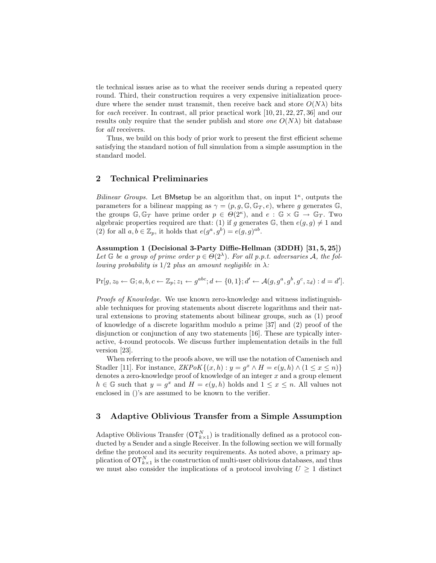tle technical issues arise as to what the receiver sends during a repeated query round. Third, their construction requires a very expensive initialization procedure where the sender must transmit, then receive back and store  $O(N\lambda)$  bits for each receiver. In contrast, all prior practical work [10, 21, 22, 27, 36] and our results only require that the sender publish and store *one*  $O(N\lambda)$  bit database for all receivers.

Thus, we build on this body of prior work to present the first efficient scheme satisfying the standard notion of full simulation from a simple assumption in the standard model.

## 2 Technical Preliminaries

Bilinear Groups. Let BMsetup be an algorithm that, on input  $1^{\kappa}$ , outputs the parameters for a bilinear mapping as  $\gamma = (p, g, \mathbb{G}, \mathbb{G}_T, e)$ , where g generates  $\mathbb{G}$ , the groups  $\mathbb{G}, \mathbb{G}_T$  have prime order  $p \in \Theta(2^{\kappa})$ , and  $e : \mathbb{G} \times \mathbb{G} \to \mathbb{G}_T$ . Two algebraic properties required are that: (1) if g generates  $\mathbb{G}$ , then  $e(g, g) \neq 1$  and (2) for all  $a, b \in \mathbb{Z}_p$ , it holds that  $e(g^a, g^b) = e(g, g)^{ab}$ .

Assumption 1 (Decisional 3-Party Diffie-Hellman (3DDH) [31, 5, 25]) Let  $\mathbb G$  be a group of prime order  $p \in O(2^{\lambda})$ . For all p.p.t. adversaries A, the following probability is  $1/2$  plus an amount negligible in  $\lambda$ :

$$
\Pr[g, z_0 \leftarrow \mathbb{G}; a, b, c \leftarrow \mathbb{Z}_p; z_1 \leftarrow g^{abc}; d \leftarrow \{0, 1\}; d' \leftarrow \mathcal{A}(g, g^a, g^b, g^c, z_d): d = d'].
$$

Proofs of Knowledge. We use known zero-knowledge and witness indistinguishable techniques for proving statements about discrete logarithms and their natural extensions to proving statements about bilinear groups, such as (1) proof of knowledge of a discrete logarithm modulo a prime [37] and (2) proof of the disjunction or conjunction of any two statements [16]. These are typically interactive, 4-round protocols. We discuss further implementation details in the full version [23].

When referring to the proofs above, we will use the notation of Camenisch and Stadler [11]. For instance,  $ZKPoK\{(x, h) : y = g^x \wedge H = e(y, h) \wedge (1 \le x \le n)\}\$ denotes a zero-knowledge proof of knowledge of an integer  $x$  and a group element  $h \in \mathbb{G}$  such that  $y = g^x$  and  $H = e(y, h)$  holds and  $1 \le x \le n$ . All values not enclosed in ()'s are assumed to be known to the verifier.

# 3 Adaptive Oblivious Transfer from a Simple Assumption

Adaptive Oblivious Transfer  $(OT_{k\times 1}^N)$  is traditionally defined as a protocol conducted by a Sender and a single Receiver. In the following section we will formally define the protocol and its security requirements. As noted above, a primary application of  $\mathsf{OT}_{k\times 1}^N$  is the construction of multi-user oblivious databases, and thus we must also consider the implications of a protocol involving  $U \geq 1$  distinct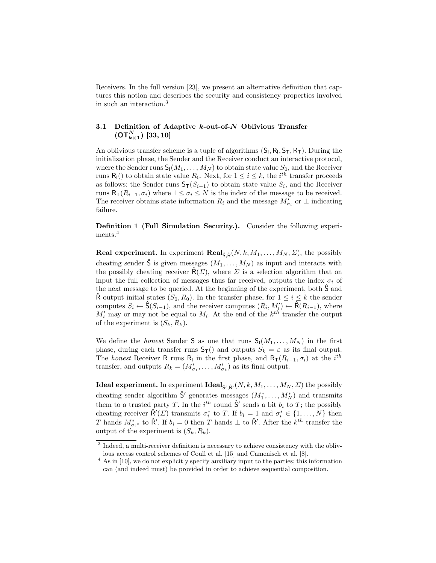Receivers. In the full version [23], we present an alternative definition that captures this notion and describes the security and consistency properties involved in such an interaction.<sup>3</sup>

# 3.1 Definition of Adaptive  $k$ -out-of- $N$  Oblivious Transfer  $(\mathsf{OT}_{k\times 1}^N)$  [33, 10]

An oblivious transfer scheme is a tuple of algorithms  $(S_I, R_I, S_T, R_T)$ . During the initialization phase, the Sender and the Receiver conduct an interactive protocol, where the Sender runs  $S_1(M_1, \ldots, M_N)$  to obtain state value  $S_0$ , and the Receiver runs  $R_1()$  to obtain state value  $R_0$ . Next, for  $1 \leq i \leq k$ , the *i*<sup>th</sup> transfer proceeds as follows: the Sender runs  $\mathsf{S}_{\mathsf{T}}(S_{i-1})$  to obtain state value  $S_i$ , and the Receiver runs  $R_T(R_{i-1}, \sigma_i)$  where  $1 \leq \sigma_i \leq N$  is the index of the message to be received. The receiver obtains state information  $R_i$  and the message  $M'_{\sigma_i}$  or  $\perp$  indicating failure.

Definition 1 (Full Simulation Security.). Consider the following experiments.<sup>4</sup>

**Real experiment.** In experiment  $\text{Real}_{\hat{\text{S}},\hat{\text{R}}}(N,k,M_1,\ldots,M_N,\Sigma)$ , the possibly cheating sender  $\hat{\mathsf{S}}$  is given messages  $(M_1, \ldots, M_N)$  as input and interacts with the possibly cheating receiver  $\hat{\mathsf{R}}(\Sigma)$ , where  $\Sigma$  is a selection algorithm that on input the full collection of messages thus far received, outputs the index  $\sigma_i$  of the next message to be queried. At the beginning of the experiment, both  $\hat{S}$  and  $\hat{\mathsf{R}}$  output initial states  $(S_0, R_0)$ . In the transfer phase, for  $1 \leq i \leq k$  the sender computes  $S_i \leftarrow \hat{S}(S_{i-1})$ , and the receiver computes  $(R_i, M'_i) \leftarrow \hat{R}(R_{i-1})$ , where  $M_i'$  may or may not be equal to  $M_i$ . At the end of the  $k^{th}$  transfer the output of the experiment is  $(S_k, R_k)$ .

We define the *honest* Sender S as one that runs  $S_1(M_1, \ldots, M_N)$  in the first phase, during each transfer runs  $S_T()$  and outputs  $S_k = \varepsilon$  as its final output. The honest Receiver R runs R<sub>I</sub> in the first phase, and  $R_{\text{T}}(R_{i-1}, \sigma_i)$  at the i<sup>th</sup> transfer, and outputs  $R_k = (M'_{\sigma_1}, \ldots, M'_{\sigma_k})$  as its final output.

**Ideal experiment.** In experiment  $\textbf{Ideal}_{\hat{\mathsf{S}}',\hat{\mathsf{R}}'}(N,k,M_1,\ldots,M_N,\Sigma)$  the possibly cheating sender algorithm  $\hat{\mathsf{S}}'$  generates messages  $(M_1^*, \ldots, M_N^*)$  and transmits them to a trusted party T. In the  $i^{th}$  round  $\hat{S}'$  sends a bit  $b_i$  to T; the possibly cheating receiver  $\hat{\mathsf{R}}'(\Sigma)$  transmits  $\sigma_i^*$  to T. If  $b_i = 1$  and  $\sigma_i^* \in \{1, ..., N\}$  then T hands  $M^*_{\sigma_i^*}$  to  $\hat{\mathsf{R}}'$ . If  $b_i = 0$  then T hands  $\perp$  to  $\hat{\mathsf{R}}'$ . After the  $k^{th}$  transfer the output of the experiment is  $(S_k, R_k)$ .

<sup>&</sup>lt;sup>3</sup> Indeed, a multi-receiver definition is necessary to achieve consistency with the oblivious access control schemes of Coull et al. [15] and Camenisch et al. [8].

 $^4$  As in [10], we do not explicitly specify auxiliary input to the parties; this information can (and indeed must) be provided in order to achieve sequential composition.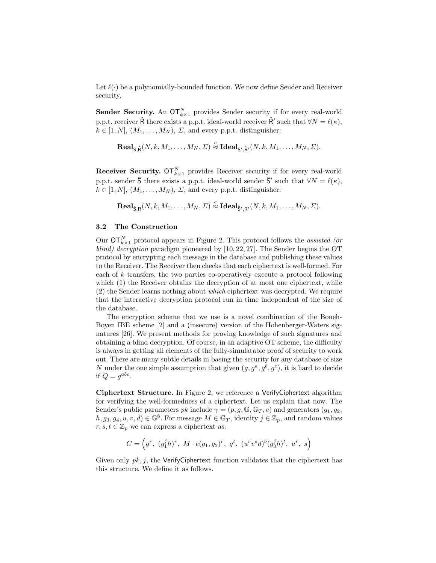Let  $\ell(\cdot)$  be a polynomially-bounded function. We now define Sender and Receiver security.

**Sender Security.** An  $\sigma \mathsf{T}_{k \times 1}^N$  provides Sender security if for every real-world p.p.t. receiver  $\hat{\mathsf{R}}$  there exists a p.p.t. ideal-world receiver  $\hat{\mathsf{R}}'$  such that  $\forall N = \ell(\kappa)$ ,  $k \in [1, N], (M_1, \ldots, M_N), \Sigma$ , and every p.p.t. distinguisher:

$$
\mathbf{Real}_{\mathsf{S},\hat{\mathsf{R}}}(N,k,M_1,\ldots,M_N,\varSigma)\stackrel{c}{\approx}\mathbf{Ideal}_{\mathsf{S}',\hat{\mathsf{R}'}}(N,k,M_1,\ldots,M_N,\varSigma).
$$

**Receiver Security.**  $\sigma \Gamma_{k\times 1}^{N}$  provides Receiver security if for every real-world p.p.t. sender  $\hat{\mathsf{S}}$  there exists a p.p.t. ideal-world sender  $\hat{\mathsf{S}}'$  such that  $\forall N = \ell(\kappa)$ ,  $k \in [1, N], (M_1, \ldots, M_N), \Sigma$ , and every p.p.t. distinguisher:

 $\mathbf{Real}_{\mathsf{S},\mathsf{R}}(N,k,M_1,\dots,M_N,\mathit{\Sigma}) \stackrel{c}{\approx} \mathbf{Ideal}_{\mathsf{\hat{S}^\prime},\mathsf{R^\prime}}(N,k,M_1,\dots,M_N,\mathit{\Sigma}).$ 

# 3.2 The Construction

Our  $\mathsf{OT}_{k\times 1}^N$  protocol appears in Figure 2. This protocol follows the assisted (or blind) decryption paradigm pioneered by [10, 22, 27]. The Sender begins the OT protocol by encrypting each message in the database and publishing these values to the Receiver. The Receiver then checks that each ciphertext is well-formed. For each of  $k$  transfers, the two parties co-operatively execute a protocol following which (1) the Receiver obtains the decryption of at most one ciphertext, while (2) the Sender learns nothing about which ciphertext was decrypted. We require that the interactive decryption protocol run in time independent of the size of the database.

The encryption scheme that we use is a novel combination of the Boneh-Boyen IBE scheme [2] and a (insecure) version of the Hohenberger-Waters signatures [26]. We present methods for proving knowledge of such signatures and obtaining a blind decryption. Of course, in an adaptive OT scheme, the difficulty is always in getting all elements of the fully-simulatable proof of security to work out. There are many subtle details in basing the security for any database of size N under the one simple assumption that given  $(g, g^a, g^b, g^c)$ , it is hard to decide if  $Q = g^{abc}$ .

Ciphertext Structure. In Figure 2, we reference a VerifyCiphertext algorithm for verifying the well-formedness of a ciphertext. Let us explain that now. The Sender's public parameters pk include  $\gamma = (p, g, \mathbb{G}, \mathbb{G}_T, e)$  and generators  $(g_1, g_2, e)$  $h, g_3, g_4, u, v, d) \in \mathbb{G}^8$ . For message  $M \in \mathbb{G}_T$ , identity  $j \in \mathbb{Z}_p$ , and random values  $r, s, t \in \mathbb{Z}_p$  we can express a ciphertext as:

$$
C = \left(g^r, (g_1^j h)^r, M \cdot e(g_1, g_2)^r, g^t, (u^r v^s d)^b (g_3^j h)^t, u^r, s\right)
$$

Given only  $pk, j$ , the VerifyCiphertext function validates that the ciphertext has this structure. We define it as follows.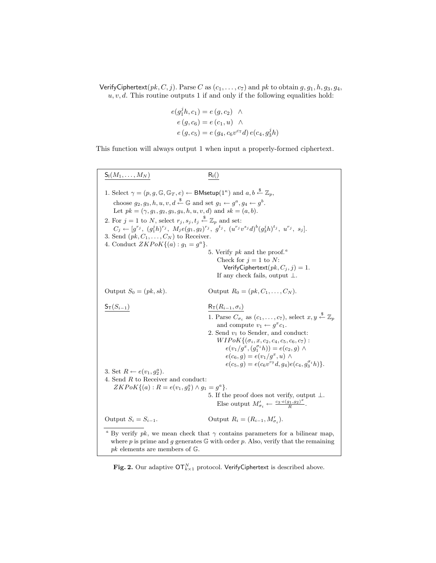VerifyCiphertext( $pk$ , C, j). Parse C as  $(c_1, \ldots, c_7)$  and  $pk$  to obtain  $g$ ,  $g_1$ ,  $h$ ,  $g_3$ ,  $g_4$ ,  $u, v, d$ . This routine outputs 1 if and only if the following equalities hold:

$$
e(g_1jh, c_1) = e(g, c_2) \wedge \ne(g, c_6) = e(c_1, u) \wedge \ne(g, c_5) = e(g_4, c_6 v^{c_7}d) e(c_4, g_3jh)
$$

This function will always output 1 when input a properly-formed ciphertext.

 $\mathsf{S}_{\mathsf{I}}(M_1,\ldots,M_N)$   $\mathsf{R}_{\mathsf{I}}(n)$ 1. Select  $\gamma = (p, g, \mathbb{G}, \mathbb{G}_T, e) \leftarrow \mathsf{BMsetup}(1^\kappa)$  and  $a, b \stackrel{\$}{\leftarrow} \mathbb{Z}_p$ , choose  $g_2, g_3, h, u, v, d \stackrel{\$}{\leftarrow} \mathbb{G}$  and set  $g_1 \leftarrow g^a, g_4 \leftarrow g^b$ . Let  $pk = (\gamma, g_1, g_2, g_3, g_4, h, u, v, d)$  and  $sk = (a, b)$ . 2. For  $j = 1$  to N, select  $r_j, s_j, t_j \stackrel{\$}{\leftarrow} \mathbb{Z}_p$  and set:  $C_j \leftarrow [g^{r_j}, (g_1^j h)^{r_j}, M_j e(g_1, g_2)^{r_j}, g^{t_j}, (u^{r_j} v^{s_j} d)^b (g_3^j h)^{t_j}, u^{r_j}, s_j].$ 3. Send  $(pk, C_1, \ldots, C_N)$  to Receiver. 4. Conduct  $ZKPoK{(a): g_1 = g^a}$ . 5. Verify  $pk$  and the proof.<sup>a</sup> Check for  $j = 1$  to N: VerifyCiphertext $(pk, C_i, j) = 1$ . If any check fails, output  $\perp$ . Output  $S_0 = (pk, sk)$ . Output  $R_0 = (pk, C_1, ..., C_N)$ .  $\mathsf{S}_{\mathsf{T}}(S_{i-1})$  R<sub>T</sub> $(R_{i-1}, \sigma_i)$ 1. Parse  $C_{\sigma_i}$  as  $(c_1, \ldots, c_7)$ , select  $x, y \stackrel{\$}{\leftarrow} \mathbb{Z}_p$ and compute  $v_1 \leftarrow g^x c_1$ . 2. Send  $v_1$  to Sender, and conduct:  $W I P o K \{ (\sigma_i, x, c_2, c_4, c_5, c_6, c_7) :$  $e(v_1/g^x,(g_1^{\sigma_i}h)) = e(c_2,g) \wedge$  $e(c_6, g) = e(v_1/g^x, u) \wedge$  $e(c_5, g) = e(c_6v^{c_7}d, g_4)e(c_4, g_3^{\sigma_i}h)$ . 3. Set  $R \leftarrow e(v_1, g_2^a)$ . 4. Send  $R$  to Receiver and conduct:  $ZKPoK\{(a): R = e(v_1, g_2^a) \wedge g_1 = g^a\}.$ 5. If the proof does not verify, output  $\bot.$ Else output  $M'_{\sigma_i} \leftarrow \frac{c_3 \cdot e(g_1,g_2)^x}{R}$  $\frac{g_1, g_2)^{-}}{R}$ . Output  $S_i = S_{i-1}$ . Output  $R_i = (R_{i-1}, M'_{\sigma_i})$ . <sup>a</sup> By verify pk, we mean check that  $\gamma$  contains parameters for a bilinear map, where  $p$  is prime and  $g$  generates  $\mathbb G$  with order  $p$ . Also, verify that the remaining  $pk$  elements are members of  $\mathbb{G}$ .

Fig. 2. Our adaptive  $\mathsf{OT}_{k\times 1}^N$  protocol. VerifyCiphertext is described above.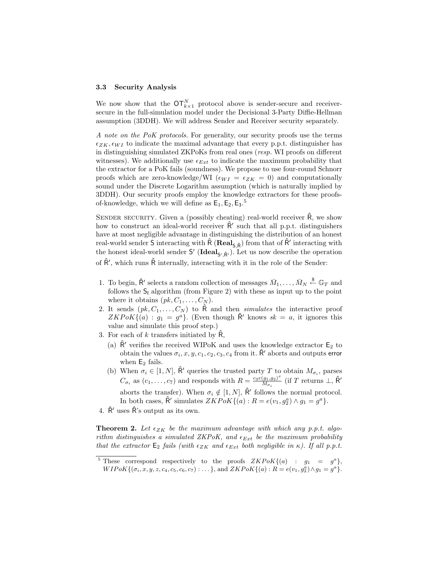#### 3.3 Security Analysis

We now show that the  $\mathsf{OT}_{k\times 1}^N$  protocol above is sender-secure and receiversecure in the full-simulation model under the Decisional 3-Party Diffie-Hellman assumption (3DDH). We will address Sender and Receiver security separately.

A note on the PoK protocols. For generality, our security proofs use the terms  $\epsilon_{ZK}, \epsilon_{WI}$  to indicate the maximal advantage that every p.p.t. distinguisher has in distinguishing simulated ZKPoKs from real ones (resp. WI proofs on different witnesses). We additionally use  $\epsilon_{Ext}$  to indicate the maximum probability that the extractor for a PoK fails (soundness). We propose to use four-round Schnorr proofs which are zero-knowledge/WI ( $\epsilon_{WI} = \epsilon_{ZK} = 0$ ) and computationally sound under the Discrete Logarithm assumption (which is naturally implied by 3DDH). Our security proofs employ the knowledge extractors for these proofsof-knowledge, which we will define as  $E_1, E_2, E_3$ .<sup>5</sup>

SENDER SECURITY. Given a (possibly cheating) real-world receiver  $\hat{R}$ , we show how to construct an ideal-world receiver  $\hat{\mathsf{R}}'$  such that all p.p.t. distinguishers have at most negligible advantage in distinguishing the distribution of an honest real-world sender  $S$  interacting with  $\hat{\mathsf{R}}$  ( $\mathbf{Real}_{S,\hat{\mathsf{R}}})$  from that of  $\hat{\mathsf{R}}'$  interacting with the honest ideal-world sender  $S'$  (**Ideal**<sub> $S', \hat{R'}$ </sub>). Let us now describe the operation of  $\hat{\mathsf{R}}'$ , which runs  $\hat{\mathsf{R}}$  internally, interacting with it in the role of the Sender:

- 1. To begin,  $\hat{\mathsf{R}}'$  selects a random collection of messages  $\bar{M}_1, \ldots, \bar{M}_N \stackrel{\$}{\leftarrow} \mathbb{G}_T$  and follows the  $S_1$  algorithm (from Figure 2) with these as input up to the point where it obtains  $(pk, C_1, \ldots, C_N)$ .
- 2. It sends  $(pk, C_1, \ldots, C_N)$  to  $\hat{\mathsf{R}}$  and then simulates the interactive proof  $ZKPoK\{(a): g_1 = g^a\}.$  (Even though  $\hat{\mathsf{R}}'$  knows  $sk = a$ , it ignores this value and simulate this proof step.)
- 3. For each of k transfers initiated by  $\mathsf{R}$ ,
	- (a)  $\hat{\mathsf{R}}'$  verifies the received WIPoK and uses the knowledge extractor  $\mathsf{E}_2$  to obtain the values  $\sigma_i, x, y, c_1, c_2, c_3, c_4$  from it.  $\hat{\mathsf{R}}'$  aborts and outputs error when  $E_2$  fails.
	- (b) When  $\sigma_i \in [1, N]$ ,  $\hat{\mathsf{R}}'$  queries the trusted party T to obtain  $M_{\sigma_i}$ , parses  $C_{\sigma_i}$  as  $(c_1, \ldots, c_7)$  and responds with  $R = \frac{c_3 e(g_1, g_2)^x}{M_{\sigma_i}}$  $\frac{(g_1, g_2)^x}{M_{\sigma_i}}$  (if T returns  $\perp$ ,  $\hat{\mathsf{R}}'$ aborts the transfer). When  $\sigma_i \notin [1, N]$ ,  $\hat{\mathsf{R}}'$  follows the normal protocol. In both cases,  $\hat{\mathsf{R}}'$  simulates  $ZKPoK\{(a): R = e(v_1, g_2^a) \wedge g_1 = g^a\}.$
- 4.  $\hat{\mathsf{R}}'$  uses  $\hat{\mathsf{R}}'$ 's output as its own.

**Theorem 2.** Let  $\epsilon_{ZK}$  be the maximum advantage with which any p.p.t. algorithm distinguishes a simulated ZKPoK, and  $\epsilon_{Ext}$  be the maximum probability that the extractor  $\mathsf{E}_2$  fails (with  $\epsilon_{ZK}$  and  $\epsilon_{Ext}$  both negligible in  $\kappa$ ). If all p.p.t.

<sup>&</sup>lt;sup>5</sup> These correspond respectively to the proofs  $ZKPoK\{(a) : g_1 = g^a\},\$  $WIPoK\{(\sigma_i, x, y, z, c_4, c_5, c_6, c_7) : \dots\},\$ and  $ZKPoK\{(a): R = e(v_1, g_2^a) \wedge g_1 = g^a\}.$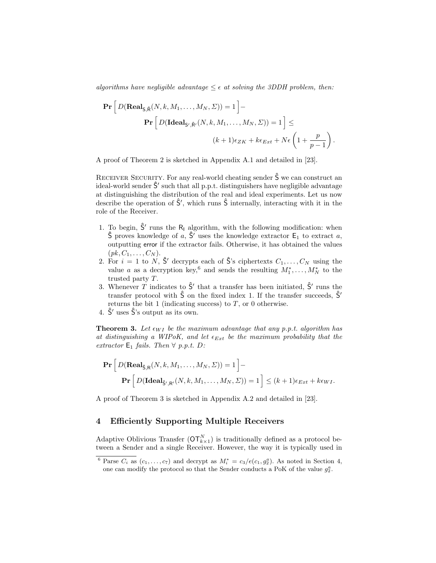algorithms have negligible advantage  $\leq \epsilon$  at solving the 3DDH problem, then:

$$
\mathbf{Pr}\left[D(\mathbf{Real}_{\mathsf{S},\hat{\mathsf{R}}}(N,k,M_1,\ldots,M_N,\Sigma))=1\right]-\n\mathbf{Pr}\left[D(\mathbf{Ideal}_{\mathsf{S}',\hat{\mathsf{R}'}}(N,k,M_1,\ldots,M_N,\Sigma))=1\right]\le
$$
\n
$$
(k+1)\epsilon_{ZK}+k\epsilon_{Ext}+N\epsilon\left(1+\frac{p}{p-1}\right).
$$

A proof of Theorem 2 is sketched in Appendix A.1 and detailed in [23].

RECEIVER SECURITY. For any real-world cheating sender  $\hat{\mathsf{S}}$  we can construct an ideal-world sender  $\hat{S}'$  such that all p.p.t. distinguishers have negligible advantage at distinguishing the distribution of the real and ideal experiments. Let us now describe the operation of  $\hat{S}'$ , which runs  $\hat{S}$  internally, interacting with it in the role of the Receiver.

- 1. To begin,  $\hat{S}'$  runs the R<sub>I</sub> algorithm, with the following modification: when  $\hat{\mathsf{S}}$  proves knowledge of a,  $\hat{\mathsf{S}}'$  uses the knowledge extractor  $\mathsf{E}_1$  to extract a, outputting error if the extractor fails. Otherwise, it has obtained the values  $(pk, C_1, \ldots, C_N).$
- 2. For  $i = 1$  to N,  $\hat{S}'$  decrypts each of  $\hat{S}'$ 's ciphertexts  $C_1, \ldots, C_N$  using the value a as a decryption key,<sup>6</sup> and sends the resulting  $M_1^*, \ldots, M_N^*$  to the trusted party T.
- 3. Whenever T indicates to  $\hat{\mathsf{S}}'$  that a transfer has been initiated,  $\hat{\mathsf{S}}'$  runs the transfer protocol with  $\hat{S}$  on the fixed index 1. If the transfer succeeds,  $\hat{S}'$ returns the bit 1 (indicating success) to  $T$ , or 0 otherwise.
- 4.  $\hat{S}'$  uses  $\hat{S}'$ 's output as its own.

**Theorem 3.** Let  $\epsilon_{WI}$  be the maximum advantage that any p.p.t. algorithm has at distinguishing a WIPoK, and let  $\epsilon_{Ext}$  be the maximum probability that the extractor  $E_1$  fails. Then  $\forall$  p.p.t. D:

$$
\mathbf{Pr}\left[D(\mathbf{Real}_{\hat{\mathsf{S}},\mathsf{R}}(N,k,M_1,\ldots,M_N,\Sigma))=1\right]-\n\mathbf{Pr}\left[D(\mathbf{Ideal}_{\hat{\mathsf{S}}',\mathsf{R}'}(N,k,M_1,\ldots,M_N,\Sigma))=1\right]\leq (k+1)\epsilon_{Ext}+k\epsilon_{WI}.
$$

A proof of Theorem 3 is sketched in Appendix A.2 and detailed in [23].

## 4 Efficiently Supporting Multiple Receivers

Adaptive Oblivious Transfer  $(OT_{k\times 1}^N)$  is traditionally defined as a protocol between a Sender and a single Receiver. However, the way it is typically used in

<sup>&</sup>lt;sup>6</sup> Parse  $C_i$  as  $(c_1, \ldots, c_7)$  and decrypt as  $M_i^* = c_3/e(c_1, g_2^a)$ . As noted in Section 4, one can modify the protocol so that the Sender conducts a PoK of the value  $g_2^a$ .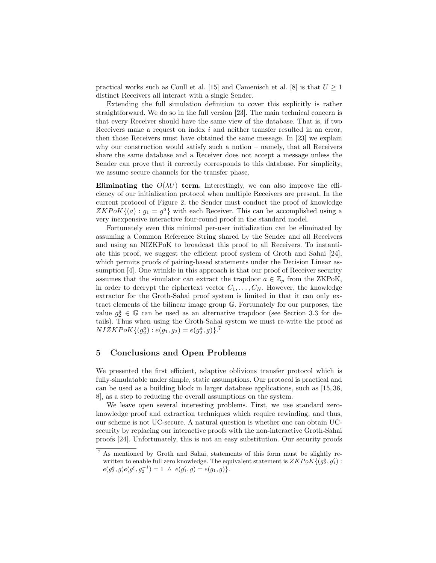practical works such as Coull et al. [15] and Camenisch et al. [8] is that  $U \geq 1$ distinct Receivers all interact with a single Sender.

Extending the full simulation definition to cover this explicitly is rather straightforward. We do so in the full version [23]. The main technical concern is that every Receiver should have the same view of the database. That is, if two Receivers make a request on index i and neither transfer resulted in an error, then those Receivers must have obtained the same message. In [23] we explain why our construction would satisfy such a notion – namely, that all Receivers share the same database and a Receiver does not accept a message unless the Sender can prove that it correctly corresponds to this database. For simplicity, we assume secure channels for the transfer phase.

Eliminating the  $O(\lambda U)$  term. Interestingly, we can also improve the efficiency of our initialization protocol when multiple Receivers are present. In the current protocol of Figure 2, the Sender must conduct the proof of knowledge  $ZKPoK\{(a): g_1 = g^a\}$  with each Receiver. This can be accomplished using a very inexpensive interactive four-round proof in the standard model.

Fortunately even this minimal per-user initialization can be eliminated by assuming a Common Reference String shared by the Sender and all Receivers and using an NIZKPoK to broadcast this proof to all Receivers. To instantiate this proof, we suggest the efficient proof system of Groth and Sahai [24], which permits proofs of pairing-based statements under the Decision Linear assumption [4]. One wrinkle in this approach is that our proof of Receiver security assumes that the simulator can extract the trapdoor  $a \in \mathbb{Z}_p$  from the ZKPoK, in order to decrypt the ciphertext vector  $C_1, \ldots, C_N$ . However, the knowledge extractor for the Groth-Sahai proof system is limited in that it can only extract elements of the bilinear image group G. Fortunately for our purposes, the value  $g_2^a \in \mathbb{G}$  can be used as an alternative trapdoor (see Section 3.3 for details). Thus when using the Groth-Sahai system we must re-write the proof as  $NIZKPoK{(g_2^a): e(g_1, g_2) = e(g_2^a, g)}$ .<sup>7</sup>

#### 5 Conclusions and Open Problems

We presented the first efficient, adaptive oblivious transfer protocol which is fully-simulatable under simple, static assumptions. Our protocol is practical and can be used as a building block in larger database applications, such as [15, 36, 8], as a step to reducing the overall assumptions on the system.

We leave open several interesting problems. First, we use standard zeroknowledge proof and extraction techniques which require rewinding, and thus, our scheme is not UC-secure. A natural question is whether one can obtain UCsecurity by replacing our interactive proofs with the non-interactive Groth-Sahai proofs [24]. Unfortunately, this is not an easy substitution. Our security proofs

<sup>7</sup> As mentioned by Groth and Sahai, statements of this form must be slightly rewritten to enable full zero knowledge. The equivalent statement is  $ZKPoK\{(g_2^a, g_1')\}$ :  $e(g_2^a, g)e(g_1', g_2^{-1}) = 1 \ \wedge \ e(g_1', g) = e(g_1, g)$ .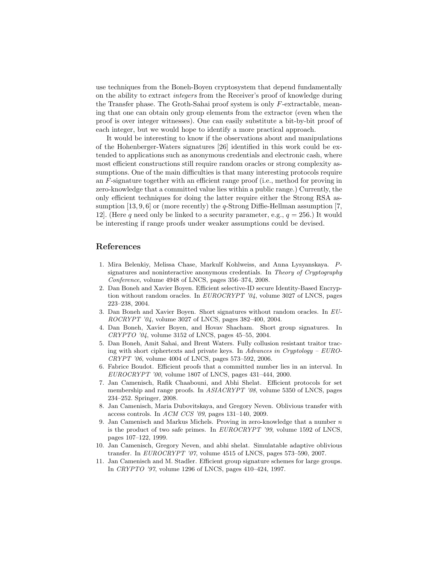use techniques from the Boneh-Boyen cryptosystem that depend fundamentally on the ability to extract integers from the Receiver's proof of knowledge during the Transfer phase. The Groth-Sahai proof system is only F-extractable, meaning that one can obtain only group elements from the extractor (even when the proof is over integer witnesses). One can easily substitute a bit-by-bit proof of each integer, but we would hope to identify a more practical approach.

It would be interesting to know if the observations about and manipulations of the Hohenberger-Waters signatures [26] identified in this work could be extended to applications such as anonymous credentials and electronic cash, where most efficient constructions still require random oracles or strong complexity assumptions. One of the main difficulties is that many interesting protocols require an F-signature together with an efficient range proof (i.e., method for proving in zero-knowledge that a committed value lies within a public range.) Currently, the only efficient techniques for doing the latter require either the Strong RSA assumption  $[13, 9, 6]$  or (more recently) the *q*-Strong Diffie-Hellman assumption [7, 12. (Here q need only be linked to a security parameter, e.g.,  $q = 256$ .) It would be interesting if range proofs under weaker assumptions could be devised.

## References

- 1. Mira Belenkiy, Melissa Chase, Markulf Kohlweiss, and Anna Lysyanskaya. Psignatures and noninteractive anonymous credentials. In Theory of Cryptography Conference, volume 4948 of LNCS, pages 356–374, 2008.
- 2. Dan Boneh and Xavier Boyen. Efficient selective-ID secure Identity-Based Encryption without random oracles. In  $EUROCRYPT$  '04, volume 3027 of LNCS, pages 223–238, 2004.
- 3. Dan Boneh and Xavier Boyen. Short signatures without random oracles. In EU-ROCRYPT '04, volume 3027 of LNCS, pages 382–400, 2004.
- 4. Dan Boneh, Xavier Boyen, and Hovav Shacham. Short group signatures. In CRYPTO '04, volume 3152 of LNCS, pages 45–55, 2004.
- 5. Dan Boneh, Amit Sahai, and Brent Waters. Fully collusion resistant traitor tracing with short ciphertexts and private keys. In Advances in Cryptology –  $EURO$ -CRYPT '06, volume 4004 of LNCS, pages 573–592, 2006.
- 6. Fabrice Boudot. Efficient proofs that a committed number lies in an interval. In EUROCRYPT '00, volume 1807 of LNCS, pages 431–444, 2000.
- 7. Jan Camenisch, Rafik Chaabouni, and Abhi Shelat. Efficient protocols for set membership and range proofs. In ASIACRYPT '08, volume 5350 of LNCS, pages 234–252. Springer, 2008.
- 8. Jan Camenisch, Maria Dubovitskaya, and Gregory Neven. Oblivious transfer with access controls. In ACM CCS '09, pages 131–140, 2009.
- 9. Jan Camenisch and Markus Michels. Proving in zero-knowledge that a number  $n$ is the product of two safe primes. In EUROCRYPT '99, volume 1592 of LNCS, pages 107–122, 1999.
- 10. Jan Camenisch, Gregory Neven, and abhi shelat. Simulatable adaptive oblivious transfer. In EUROCRYPT '07, volume 4515 of LNCS, pages 573–590, 2007.
- 11. Jan Camenisch and M. Stadler. Efficient group signature schemes for large groups. In CRYPTO '97, volume 1296 of LNCS, pages 410–424, 1997.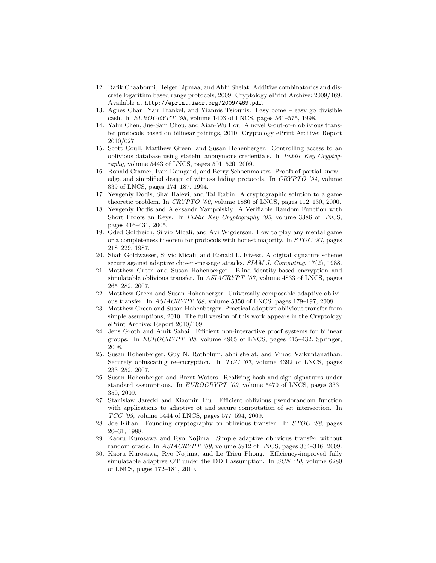- 12. Rafik Chaabouni, Helger Lipmaa, and Abhi Shelat. Additive combinatorics and discrete logarithm based range protocols, 2009. Cryptology ePrint Archive: 2009/469. Available at http://eprint.iacr.org/2009/469.pdf.
- 13. Agnes Chan, Yair Frankel, and Yiannis Tsiounis. Easy come easy go divisible cash. In EUROCRYPT '98, volume 1403 of LNCS, pages 561–575, 1998.
- 14. Yalin Chen, Jue-Sam Chou, and Xian-Wu Hou. A novel k-out-of-n oblivious transfer protocols based on bilinear pairings, 2010. Cryptology ePrint Archive: Report 2010/027.
- 15. Scott Coull, Matthew Green, and Susan Hohenberger. Controlling access to an oblivious database using stateful anonymous credentials. In Public Key Cryptography, volume 5443 of LNCS, pages 501–520, 2009.
- 16. Ronald Cramer, Ivan Damgård, and Berry Schoenmakers. Proofs of partial knowledge and simplified design of witness hiding protocols. In CRYPTO '94, volume 839 of LNCS, pages 174–187, 1994.
- 17. Yevgeniy Dodis, Shai Halevi, and Tal Rabin. A cryptographic solution to a game theoretic problem. In CRYPTO '00, volume 1880 of LNCS, pages 112–130, 2000.
- 18. Yevgeniy Dodis and Aleksandr Yampolskiy. A Verifiable Random Function with Short Proofs an Keys. In Public Key Cryptography '05, volume 3386 of LNCS, pages 416–431, 2005.
- 19. Oded Goldreich, Silvio Micali, and Avi Wigderson. How to play any mental game or a completeness theorem for protocols with honest majority. In STOC '87, pages 218–229, 1987.
- 20. Shafi Goldwasser, Silvio Micali, and Ronald L. Rivest. A digital signature scheme secure against adaptive chosen-message attacks. SIAM J. Computing, 17(2), 1988.
- 21. Matthew Green and Susan Hohenberger. Blind identity-based encryption and simulatable oblivious transfer. In  $ASIACRYPT'$  '07, volume 4833 of LNCS, pages 265–282, 2007.
- 22. Matthew Green and Susan Hohenberger. Universally composable adaptive oblivious transfer. In ASIACRYPT '08, volume 5350 of LNCS, pages 179–197, 2008.
- 23. Matthew Green and Susan Hohenberger. Practical adaptive oblivious transfer from simple assumptions, 2010. The full version of this work appears in the Cryptology ePrint Archive: Report 2010/109.
- 24. Jens Groth and Amit Sahai. Efficient non-interactive proof systems for bilinear groups. In EUROCRYPT '08, volume 4965 of LNCS, pages 415–432. Springer, 2008.
- 25. Susan Hohenberger, Guy N. Rothblum, abhi shelat, and Vinod Vaikuntanathan. Securely obfuscating re-encryption. In TCC '07, volume 4392 of LNCS, pages 233–252, 2007.
- 26. Susan Hohenberger and Brent Waters. Realizing hash-and-sign signatures under standard assumptions. In EUROCRYPT '09, volume 5479 of LNCS, pages 333– 350, 2009.
- 27. Stanislaw Jarecki and Xiaomin Liu. Efficient oblivious pseudorandom function with applications to adaptive ot and secure computation of set intersection. In TCC '09, volume 5444 of LNCS, pages 577–594, 2009.
- 28. Joe Kilian. Founding cryptography on oblivious transfer. In STOC '88, pages 20–31, 1988.
- 29. Kaoru Kurosawa and Ryo Nojima. Simple adaptive oblivious transfer without random oracle. In ASIACRYPT '09, volume 5912 of LNCS, pages 334–346, 2009.
- 30. Kaoru Kurosawa, Ryo Nojima, and Le Trieu Phong. Efficiency-improved fully simulatable adaptive OT under the DDH assumption. In  $SCN$  '10, volume 6280 of LNCS, pages 172–181, 2010.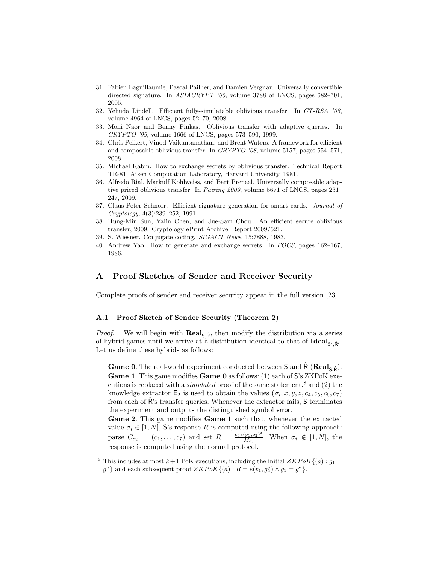- 31. Fabien Laguillaumie, Pascal Paillier, and Damien Vergnau. Universally convertible directed signature. In ASIACRYPT '05, volume 3788 of LNCS, pages 682–701, 2005.
- 32. Yehuda Lindell. Efficient fully-simulatable oblivious transfer. In CT-RSA '08, volume 4964 of LNCS, pages 52–70, 2008.
- 33. Moni Naor and Benny Pinkas. Oblivious transfer with adaptive queries. In CRYPTO '99, volume 1666 of LNCS, pages 573–590, 1999.
- 34. Chris Peikert, Vinod Vaikuntanathan, and Brent Waters. A framework for efficient and composable oblivious transfer. In CRYPTO '08, volume 5157, pages 554–571, 2008.
- 35. Michael Rabin. How to exchange secrets by oblivious transfer. Technical Report TR-81, Aiken Computation Laboratory, Harvard University, 1981.
- 36. Alfredo Rial, Markulf Kohlweiss, and Bart Preneel. Universally composable adaptive priced oblivious transfer. In Pairing 2009, volume 5671 of LNCS, pages 231– 247, 2009.
- 37. Claus-Peter Schnorr. Efficient signature generation for smart cards. Journal of Cryptology, 4(3):239–252, 1991.
- 38. Hung-Min Sun, Yalin Chen, and Jue-Sam Chou. An efficient secure oblivious transfer, 2009. Cryptology ePrint Archive: Report 2009/521.
- 39. S. Wiesner. Conjugate coding. SIGACT News, 15:7888, 1983.
- 40. Andrew Yao. How to generate and exchange secrets. In FOCS, pages 162–167, 1986.

### A Proof Sketches of Sender and Receiver Security

Complete proofs of sender and receiver security appear in the full version [23].

#### A.1 Proof Sketch of Sender Security (Theorem 2)

*Proof.* We will begin with  $\text{Real}_{S,\hat{R}}$ , then modify the distribution via a series of hybrid games until we arrive at a distribution identical to that of  $\text{Ideal}_{S',\hat{R}'}$ . Let us define these hybrids as follows:

**Game 0.** The real-world experiment conducted between S and  $\hat{\mathsf{R}}$  (**Real**,  $\hat{\mathsf{p}}$ ). Game 1. This game modifies Game 0 as follows: (1) each of S's ZKPoK executions is replaced with a *simulated* proof of the same statement,<sup>8</sup> and (2) the knowledge extractor  $\mathsf{E}_2$  is used to obtain the values  $(\sigma_i, x, y, z, \bar{c}_4, \bar{c}_5, \bar{c}_6, \bar{c}_7)$ from each of Rˆ's transfer queries. Whenever the extractor fails, S terminates the experiment and outputs the distinguished symbol error.

Game 2. This game modifies Game 1 such that, whenever the extracted value  $\sigma_i \in [1, N]$ , S's response R is computed using the following approach: parse  $C_{\sigma_i} = (c_1, \ldots, c_7)$  and set  $R = \frac{c_3 e(g_1, g_2)^x}{M_{\sigma_i}}$  $\frac{(g_1, g_2)}{M_{\sigma_i}}$ . When  $\sigma_i \notin [1, N]$ , the response is computed using the normal protocol.

<sup>&</sup>lt;sup>8</sup> This includes at most  $k+1$  PoK executions, including the initial  $ZKPoK\{(a): g_1 =$  $g^a$ } and each subsequent proof  $ZKPoK\{(a): R = e(v_1, g_2^a) \wedge g_1 = g^a\}.$